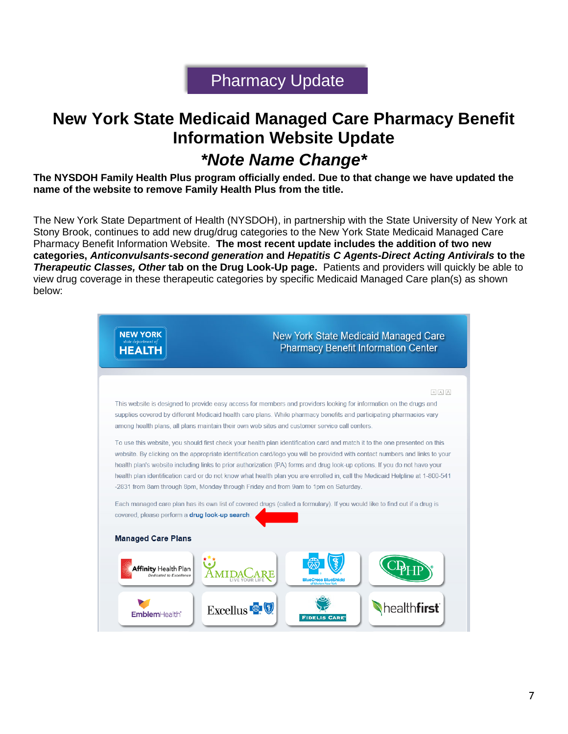## Pharmacy Update

## **New York State Medicaid Managed Care Pharmacy Benefit Information Website Update**

## *\*Note Name Change\**

**The NYSDOH Family Health Plus program officially ended. Due to that change we have updated the name of the website to remove Family Health Plus from the title.**

The New York State Department of Health (NYSDOH), in partnership with the State University of New York at Stony Brook, continues to add new drug/drug categories to the New York State Medicaid Managed Care Pharmacy Benefit Information Website. **The most recent update includes the addition of two new categories,** *Anticonvulsants-second generation* **and** *Hepatitis C Agents-Direct Acting Antivirals* **to the**  *Therapeutic Classes, Other* **tab on the Drug Look-Up page.** Patients and providers will quickly be able to view drug coverage in these therapeutic categories by specific Medicaid Managed Care plan(s) as shown below:

| <b>NEW YORK</b><br>state department of<br>HEALTH       | New York State Medicaid Managed Care<br><b>Pharmacy Benefit Information Center</b>                                                                                                                                                                                                                                                                                                                                                                                                                                                                                                                            |
|--------------------------------------------------------|---------------------------------------------------------------------------------------------------------------------------------------------------------------------------------------------------------------------------------------------------------------------------------------------------------------------------------------------------------------------------------------------------------------------------------------------------------------------------------------------------------------------------------------------------------------------------------------------------------------|
|                                                        | A A A                                                                                                                                                                                                                                                                                                                                                                                                                                                                                                                                                                                                         |
|                                                        | This website is designed to provide easy access for members and providers looking for information on the drugs and<br>supplies covered by different Medicaid health care plans. While pharmacy benefits and participating pharmacies vary<br>among health plans, all plans maintain their own web sites and customer service call centers.                                                                                                                                                                                                                                                                    |
|                                                        | To use this website, you should first check your health plan identification card and match it to the one presented on this<br>website. By clicking on the appropriate identification card/logo you will be provided with contact numbers and links to your<br>health plan's website including links to prior authorization (PA) forms and drug look-up options. If you do not have your<br>health plan identification card or do not know what health plan you are enrolled in, call the Medicaid Helpline at 1-800-541<br>-2831 from 8am through 8pm, Monday through Friday and from 9am to 1pm on Saturday. |
| covered, please perform a drug look-up search.         | Each managed care plan has its own list of covered drugs (called a formulary). If you would like to find out if a drug is                                                                                                                                                                                                                                                                                                                                                                                                                                                                                     |
| <b>Managed Care Plans</b>                              |                                                                                                                                                                                                                                                                                                                                                                                                                                                                                                                                                                                                               |
| <b>Affinity Health Plan</b><br>Dedicated to Excellence | <b>BlueCross BlueShield</b>                                                                                                                                                                                                                                                                                                                                                                                                                                                                                                                                                                                   |
| EmblemHealth'                                          | Excellus <sup>®</sup><br><b>FIDELIS CARE</b>                                                                                                                                                                                                                                                                                                                                                                                                                                                                                                                                                                  |